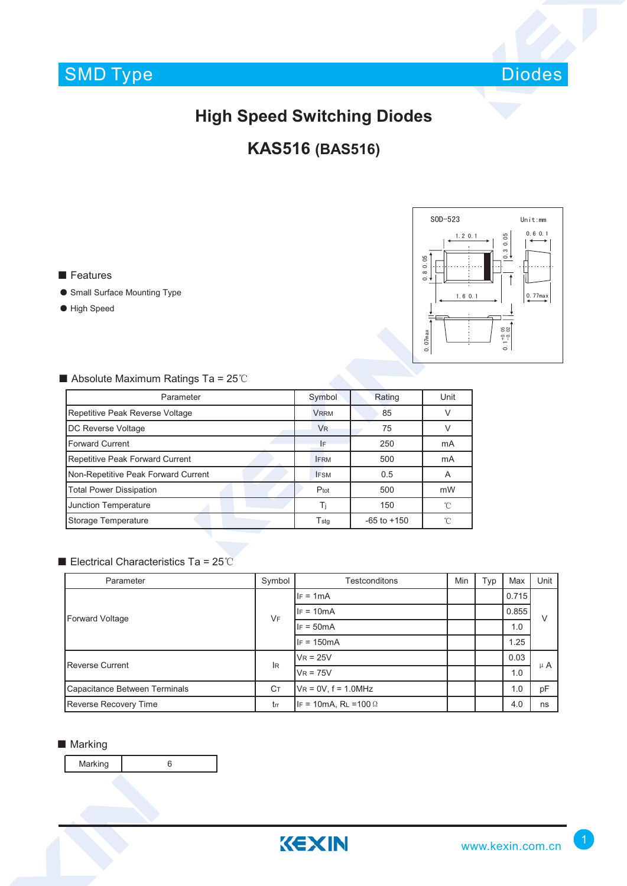

# **High Speed Switching Diodes**

## **KAS516 (BAS516)**

■ Features

- Small Surface Mounting Type
- High Speed



#### ■ Absolute Maximum Ratings Ta = 25℃

| Parameter                           | Symbol               | Rating          | Unit   |  |
|-------------------------------------|----------------------|-----------------|--------|--|
| Repetitive Peak Reverse Voltage     | <b>VRRM</b>          | 85              | $\vee$ |  |
| <b>DC Reverse Voltage</b>           | <b>V<sub>R</sub></b> | 75              | ν      |  |
| <b>Forward Current</b>              | IF                   | 250             | mA     |  |
| Repetitive Peak Forward Current     | <b>IFRM</b>          | 500             | mA     |  |
| Non-Repetitive Peak Forward Current | <b>IFSM</b>          | 0.5             | A      |  |
| <b>Total Power Dissipation</b>      | Ptot                 | 500             | mW     |  |
| <b>Junction Temperature</b>         | Ti                   | 150             | 'n     |  |
| Storage Temperature                 | $T_{\text{stg}}$     | $-65$ to $+150$ | °C     |  |

#### ■ Electrical Characteristics Ta = 25℃

| Parameter                     | Symbol    | <b>Testconditons</b>         | Min | Typ | Max   | Unit    |
|-------------------------------|-----------|------------------------------|-----|-----|-------|---------|
| Forward Voltage               | <b>VF</b> | $IF = 1mA$                   |     |     | 0.715 | V       |
|                               |           | $IF = 10mA$                  |     |     | 0.855 |         |
|                               |           | $IF = 50mA$                  |     |     | 1.0   |         |
|                               |           | $IF = 150mA$                 |     |     | 1.25  |         |
| <b>Reverse Current</b>        | <b>IR</b> | $V_R = 25V$                  |     |     | 0.03  | $\mu$ A |
|                               |           | $V_R = 75V$                  |     |     | 1.0   |         |
| Capacitance Between Terminals | Cт        | $V_R = 0V$ , $f = 1.0 MHz$   |     |     | 1.0   | pF      |
| <b>Reverse Recovery Time</b>  | trr       | IF = 10mA, RL = 100 $\Omega$ |     |     | 4.0   | ns      |

#### ■ Marking

Marking 6

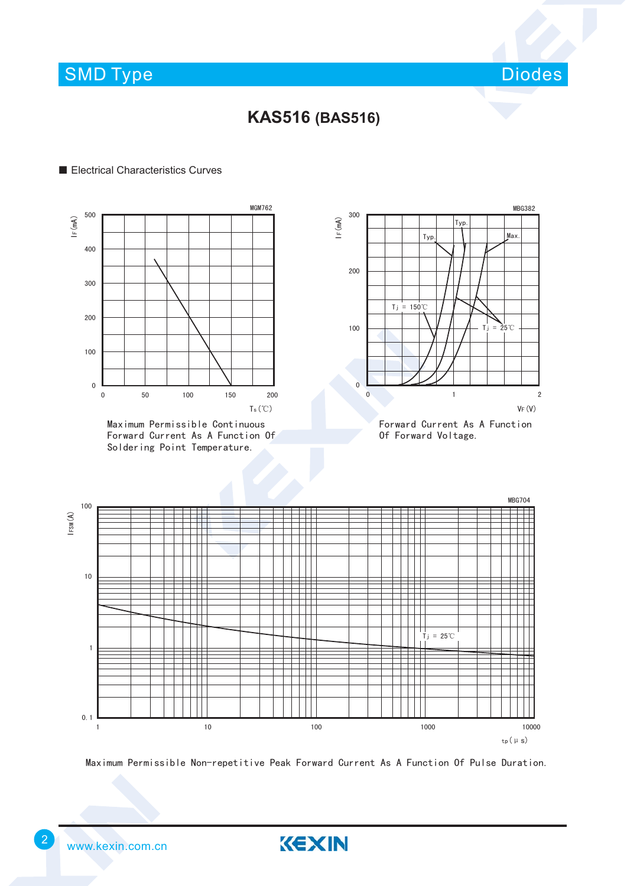SMD Type

Diodes

### **KAS516 (BAS516)**

#### ■ Electrical Characteristics Curves



Maximum Permissible Continuous Forward Current As A Function Of Soldering Point Temperature.



Forward Current As A Function Of Forward Voltage.



Maximum Permissible Non-repetitive Peak Forward Current As A Function Of Pulse Duration.

KEXIN